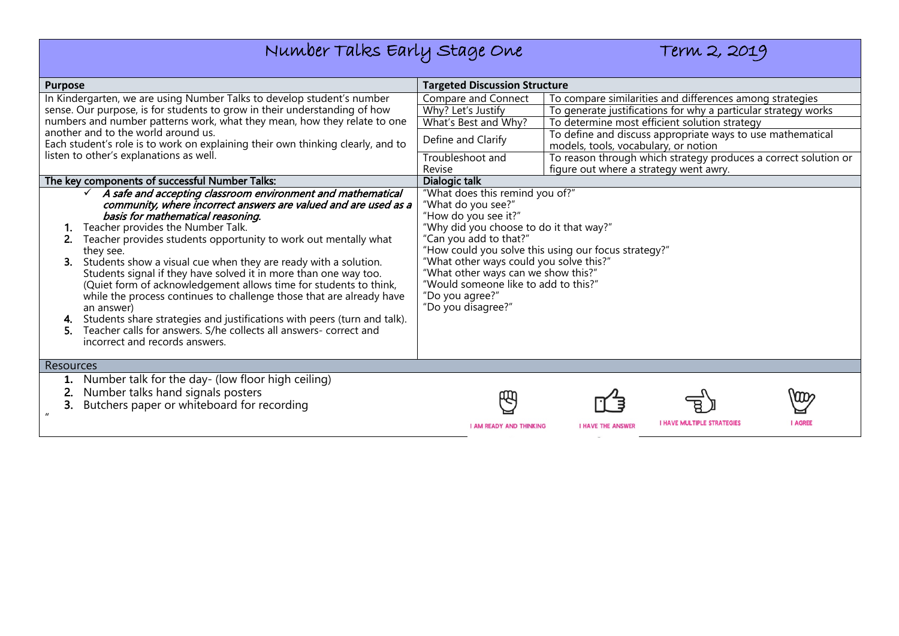# Number Talks Early Stage One Term 2, 2019

| <b>Purpose</b>                                                                                                                                                                                                                                                                                                                                                                                                                                                                                                                                                                                                                                                                                                                                                                                | <b>Targeted Discussion Structure</b>                                                                                                                                                                                                                                                                                                                                          |                                                                                                           |
|-----------------------------------------------------------------------------------------------------------------------------------------------------------------------------------------------------------------------------------------------------------------------------------------------------------------------------------------------------------------------------------------------------------------------------------------------------------------------------------------------------------------------------------------------------------------------------------------------------------------------------------------------------------------------------------------------------------------------------------------------------------------------------------------------|-------------------------------------------------------------------------------------------------------------------------------------------------------------------------------------------------------------------------------------------------------------------------------------------------------------------------------------------------------------------------------|-----------------------------------------------------------------------------------------------------------|
| In Kindergarten, we are using Number Talks to develop student's number                                                                                                                                                                                                                                                                                                                                                                                                                                                                                                                                                                                                                                                                                                                        | Compare and Connect                                                                                                                                                                                                                                                                                                                                                           | To compare similarities and differences among strategies                                                  |
| sense. Our purpose, is for students to grow in their understanding of how                                                                                                                                                                                                                                                                                                                                                                                                                                                                                                                                                                                                                                                                                                                     | Why? Let's Justify                                                                                                                                                                                                                                                                                                                                                            | To generate justifications for why a particular strategy works                                            |
| numbers and number patterns work, what they mean, how they relate to one                                                                                                                                                                                                                                                                                                                                                                                                                                                                                                                                                                                                                                                                                                                      | What's Best and Why?                                                                                                                                                                                                                                                                                                                                                          | To determine most efficient solution strategy                                                             |
| another and to the world around us.<br>Each student's role is to work on explaining their own thinking clearly, and to                                                                                                                                                                                                                                                                                                                                                                                                                                                                                                                                                                                                                                                                        | Define and Clarify                                                                                                                                                                                                                                                                                                                                                            | To define and discuss appropriate ways to use mathematical<br>models, tools, vocabulary, or notion        |
| listen to other's explanations as well.                                                                                                                                                                                                                                                                                                                                                                                                                                                                                                                                                                                                                                                                                                                                                       | Troubleshoot and<br>Revise                                                                                                                                                                                                                                                                                                                                                    | To reason through which strategy produces a correct solution or<br>figure out where a strategy went awry. |
| The key components of successful Number Talks:                                                                                                                                                                                                                                                                                                                                                                                                                                                                                                                                                                                                                                                                                                                                                | <b>Dialogic talk</b>                                                                                                                                                                                                                                                                                                                                                          |                                                                                                           |
| $\checkmark$ A safe and accepting classroom environment and mathematical<br>community, where incorrect answers are valued and are used as a<br>basis for mathematical reasoning.<br>Teacher provides the Number Talk.<br>Teacher provides students opportunity to work out mentally what<br>they see.<br>Students show a visual cue when they are ready with a solution.<br>Students signal if they have solved it in more than one way too.<br>(Quiet form of acknowledgement allows time for students to think,<br>while the process continues to challenge those that are already have<br>an answer)<br>4. Students share strategies and justifications with peers (turn and talk).<br>Teacher calls for answers. S/he collects all answers- correct and<br>incorrect and records answers. | "What does this remind you of?"<br>"What do you see?"<br>"How do you see it?"<br>"Why did you choose to do it that way?"<br>"Can you add to that?"<br>"How could you solve this using our focus strategy?"<br>"What other ways could you solve this?"<br>"What other ways can we show this?"<br>"Would someone like to add to this?"<br>"Do you agree?"<br>"Do you disagree?" |                                                                                                           |
| Resources                                                                                                                                                                                                                                                                                                                                                                                                                                                                                                                                                                                                                                                                                                                                                                                     |                                                                                                                                                                                                                                                                                                                                                                               |                                                                                                           |
| Number talk for the day- (low floor high ceiling)<br>Number talks hand signals posters<br>Butchers paper or whiteboard for recording<br>3.                                                                                                                                                                                                                                                                                                                                                                                                                                                                                                                                                                                                                                                    | I AM READY AND THINKING                                                                                                                                                                                                                                                                                                                                                       | <b>AGREE</b><br><b>I HAVE MULTIPLE STRATEGIES</b><br><b>I HAVE THE ANSWER</b>                             |